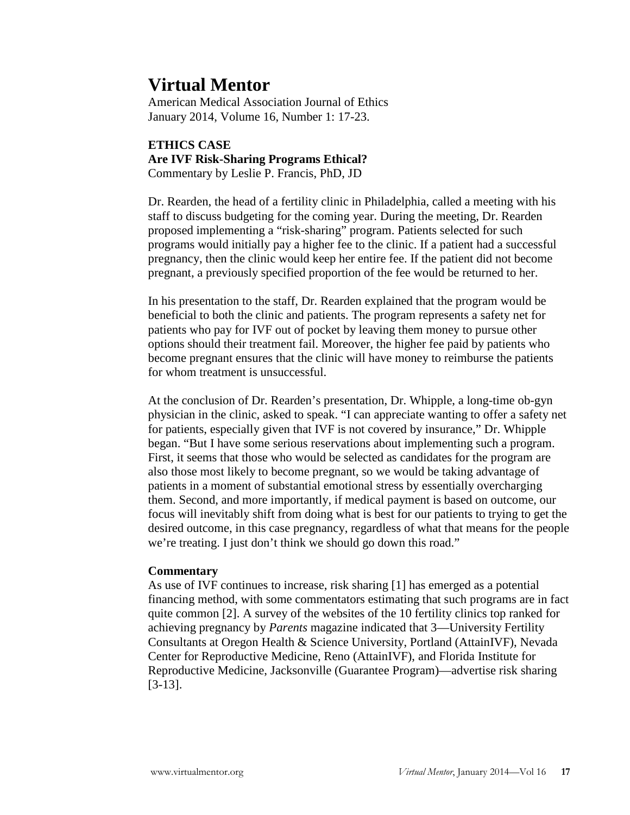# **Virtual Mentor**

American Medical Association Journal of Ethics January 2014, Volume 16, Number 1: 17-23.

# **ETHICS CASE Are IVF Risk-Sharing Programs Ethical?** Commentary by Leslie P. Francis, PhD, JD

Dr. Rearden, the head of a fertility clinic in Philadelphia, called a meeting with his staff to discuss budgeting for the coming year. During the meeting, Dr. Rearden proposed implementing a "risk-sharing" program. Patients selected for such programs would initially pay a higher fee to the clinic. If a patient had a successful pregnancy, then the clinic would keep her entire fee. If the patient did not become pregnant, a previously specified proportion of the fee would be returned to her.

In his presentation to the staff, Dr. Rearden explained that the program would be beneficial to both the clinic and patients. The program represents a safety net for patients who pay for IVF out of pocket by leaving them money to pursue other options should their treatment fail. Moreover, the higher fee paid by patients who become pregnant ensures that the clinic will have money to reimburse the patients for whom treatment is unsuccessful.

At the conclusion of Dr. Rearden's presentation, Dr. Whipple, a long-time ob-gyn physician in the clinic, asked to speak. "I can appreciate wanting to offer a safety net for patients, especially given that IVF is not covered by insurance," Dr. Whipple began. "But I have some serious reservations about implementing such a program. First, it seems that those who would be selected as candidates for the program are also those most likely to become pregnant, so we would be taking advantage of patients in a moment of substantial emotional stress by essentially overcharging them. Second, and more importantly, if medical payment is based on outcome, our focus will inevitably shift from doing what is best for our patients to trying to get the desired outcome, in this case pregnancy, regardless of what that means for the people we're treating. I just don't think we should go down this road."

# **Commentary**

As use of IVF continues to increase, risk sharing [1] has emerged as a potential financing method, with some commentators estimating that such programs are in fact quite common [2]. A survey of the websites of the 10 fertility clinics top ranked for achieving pregnancy by *Parents* magazine indicated that 3—University Fertility Consultants at Oregon Health & Science University, Portland (AttainIVF), Nevada Center for Reproductive Medicine, Reno (AttainIVF), and Florida Institute for Reproductive Medicine, Jacksonville (Guarantee Program)—advertise risk sharing [3-13].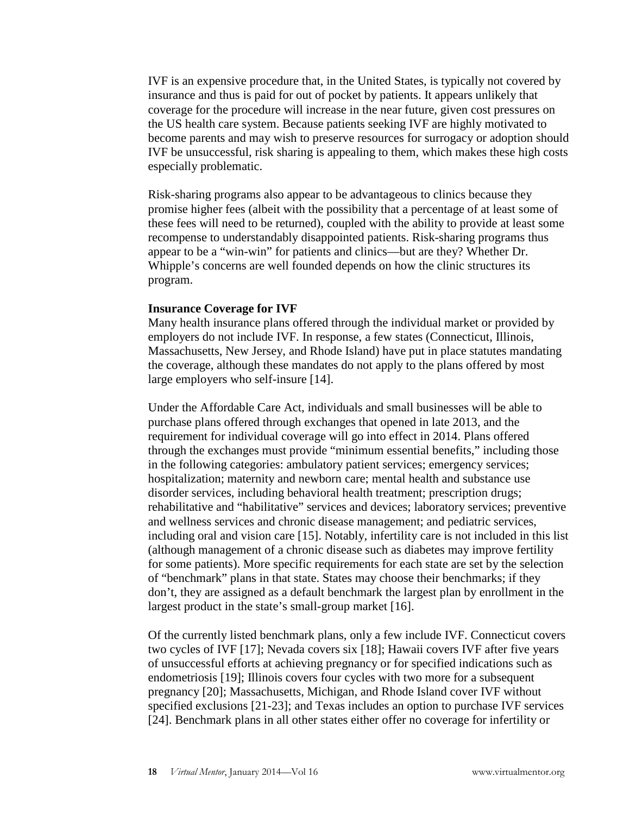IVF is an expensive procedure that, in the United States, is typically not covered by insurance and thus is paid for out of pocket by patients. It appears unlikely that coverage for the procedure will increase in the near future, given cost pressures on the US health care system. Because patients seeking IVF are highly motivated to become parents and may wish to preserve resources for surrogacy or adoption should IVF be unsuccessful, risk sharing is appealing to them, which makes these high costs especially problematic.

Risk-sharing programs also appear to be advantageous to clinics because they promise higher fees (albeit with the possibility that a percentage of at least some of these fees will need to be returned), coupled with the ability to provide at least some recompense to understandably disappointed patients. Risk-sharing programs thus appear to be a "win-win" for patients and clinics—but are they? Whether Dr. Whipple's concerns are well founded depends on how the clinic structures its program.

#### **Insurance Coverage for IVF**

Many health insurance plans offered through the individual market or provided by employers do not include IVF. In response, a few states (Connecticut, Illinois, Massachusetts, New Jersey, and Rhode Island) have put in place statutes mandating the coverage, although these mandates do not apply to the plans offered by most large employers who self-insure [14].

Under the Affordable Care Act, individuals and small businesses will be able to purchase plans offered through exchanges that opened in late 2013, and the requirement for individual coverage will go into effect in 2014. Plans offered through the exchanges must provide "minimum essential benefits," including those in the following categories: ambulatory patient services; emergency services; hospitalization; maternity and newborn care; mental health and substance use disorder services, including behavioral health treatment; prescription drugs; rehabilitative and "habilitative" services and devices; laboratory services; preventive and wellness services and chronic disease management; and pediatric services, including oral and vision care [15]. Notably, infertility care is not included in this list (although management of a chronic disease such as diabetes may improve fertility for some patients). More specific requirements for each state are set by the selection of "benchmark" plans in that state. States may choose their benchmarks; if they don't, they are assigned as a default benchmark the largest plan by enrollment in the largest product in the state's small-group market [16].

Of the currently listed benchmark plans, only a few include IVF. Connecticut covers two cycles of IVF [17]; Nevada covers six [18]; Hawaii covers IVF after five years of unsuccessful efforts at achieving pregnancy or for specified indications such as endometriosis [19]; Illinois covers four cycles with two more for a subsequent pregnancy [20]; Massachusetts, Michigan, and Rhode Island cover IVF without specified exclusions [21-23]; and Texas includes an option to purchase IVF services [24]. Benchmark plans in all other states either offer no coverage for infertility or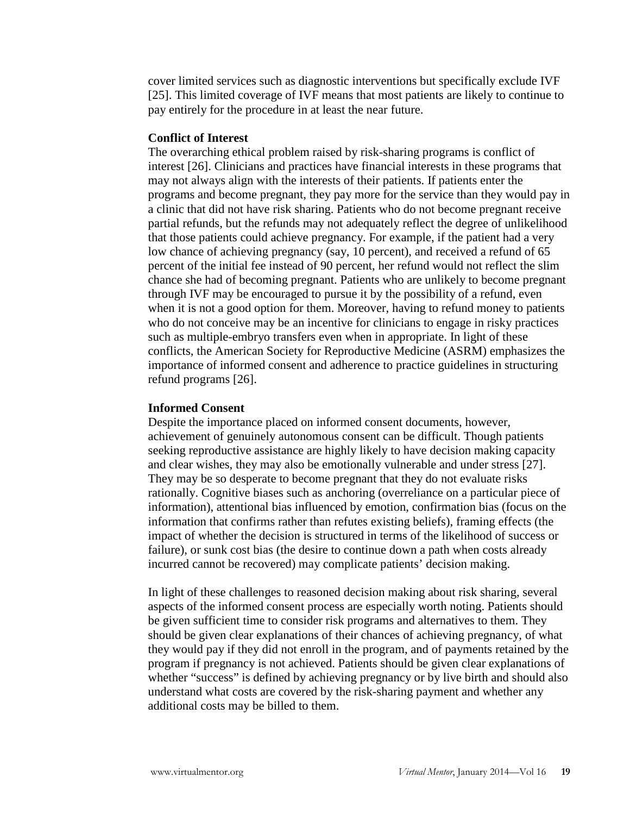cover limited services such as diagnostic interventions but specifically exclude IVF [25]. This limited coverage of IVF means that most patients are likely to continue to pay entirely for the procedure in at least the near future.

#### **Conflict of Interest**

The overarching ethical problem raised by risk-sharing programs is conflict of interest [26]. Clinicians and practices have financial interests in these programs that may not always align with the interests of their patients. If patients enter the programs and become pregnant, they pay more for the service than they would pay in a clinic that did not have risk sharing. Patients who do not become pregnant receive partial refunds, but the refunds may not adequately reflect the degree of unlikelihood that those patients could achieve pregnancy. For example, if the patient had a very low chance of achieving pregnancy (say, 10 percent), and received a refund of 65 percent of the initial fee instead of 90 percent, her refund would not reflect the slim chance she had of becoming pregnant. Patients who are unlikely to become pregnant through IVF may be encouraged to pursue it by the possibility of a refund, even when it is not a good option for them. Moreover, having to refund money to patients who do not conceive may be an incentive for clinicians to engage in risky practices such as multiple-embryo transfers even when in appropriate. In light of these conflicts, the American Society for Reproductive Medicine (ASRM) emphasizes the importance of informed consent and adherence to practice guidelines in structuring refund programs [26].

#### **Informed Consent**

Despite the importance placed on informed consent documents, however, achievement of genuinely autonomous consent can be difficult. Though patients seeking reproductive assistance are highly likely to have decision making capacity and clear wishes, they may also be emotionally vulnerable and under stress [27]. They may be so desperate to become pregnant that they do not evaluate risks rationally. Cognitive biases such as anchoring (overreliance on a particular piece of information), attentional bias influenced by emotion, confirmation bias (focus on the information that confirms rather than refutes existing beliefs), framing effects (the impact of whether the decision is structured in terms of the likelihood of success or failure), or sunk cost bias (the desire to continue down a path when costs already incurred cannot be recovered) may complicate patients' decision making.

In light of these challenges to reasoned decision making about risk sharing, several aspects of the informed consent process are especially worth noting. Patients should be given sufficient time to consider risk programs and alternatives to them. They should be given clear explanations of their chances of achieving pregnancy, of what they would pay if they did not enroll in the program, and of payments retained by the program if pregnancy is not achieved. Patients should be given clear explanations of whether "success" is defined by achieving pregnancy or by live birth and should also understand what costs are covered by the risk-sharing payment and whether any additional costs may be billed to them.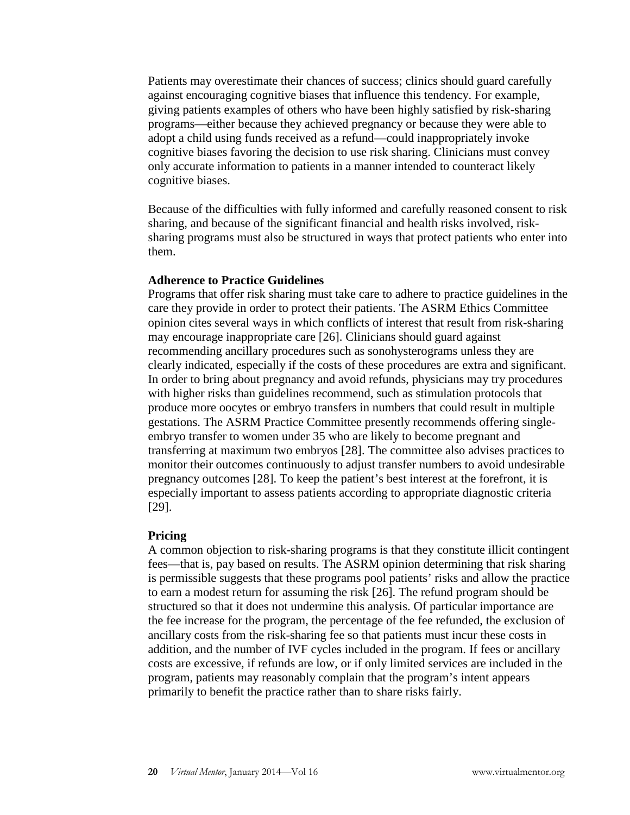Patients may overestimate their chances of success; clinics should guard carefully against encouraging cognitive biases that influence this tendency. For example, giving patients examples of others who have been highly satisfied by risk-sharing programs—either because they achieved pregnancy or because they were able to adopt a child using funds received as a refund—could inappropriately invoke cognitive biases favoring the decision to use risk sharing. Clinicians must convey only accurate information to patients in a manner intended to counteract likely cognitive biases.

Because of the difficulties with fully informed and carefully reasoned consent to risk sharing, and because of the significant financial and health risks involved, risksharing programs must also be structured in ways that protect patients who enter into them.

#### **Adherence to Practice Guidelines**

Programs that offer risk sharing must take care to adhere to practice guidelines in the care they provide in order to protect their patients. The ASRM Ethics Committee opinion cites several ways in which conflicts of interest that result from risk-sharing may encourage inappropriate care [26]. Clinicians should guard against recommending ancillary procedures such as sonohysterograms unless they are clearly indicated, especially if the costs of these procedures are extra and significant. In order to bring about pregnancy and avoid refunds, physicians may try procedures with higher risks than guidelines recommend, such as stimulation protocols that produce more oocytes or embryo transfers in numbers that could result in multiple gestations. The ASRM Practice Committee presently recommends offering singleembryo transfer to women under 35 who are likely to become pregnant and transferring at maximum two embryos [28]. The committee also advises practices to monitor their outcomes continuously to adjust transfer numbers to avoid undesirable pregnancy outcomes [28]. To keep the patient's best interest at the forefront, it is especially important to assess patients according to appropriate diagnostic criteria [29].

#### **Pricing**

A common objection to risk-sharing programs is that they constitute illicit contingent fees—that is, pay based on results. The ASRM opinion determining that risk sharing is permissible suggests that these programs pool patients' risks and allow the practice to earn a modest return for assuming the risk [26]. The refund program should be structured so that it does not undermine this analysis. Of particular importance are the fee increase for the program, the percentage of the fee refunded, the exclusion of ancillary costs from the risk-sharing fee so that patients must incur these costs in addition, and the number of IVF cycles included in the program. If fees or ancillary costs are excessive, if refunds are low, or if only limited services are included in the program, patients may reasonably complain that the program's intent appears primarily to benefit the practice rather than to share risks fairly.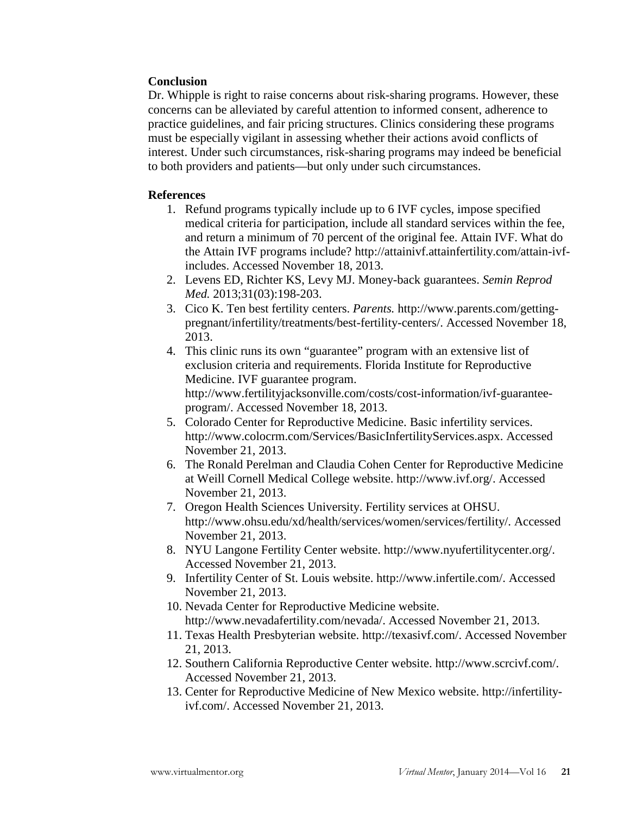# **Conclusion**

Dr. Whipple is right to raise concerns about risk-sharing programs. However, these concerns can be alleviated by careful attention to informed consent, adherence to practice guidelines, and fair pricing structures. Clinics considering these programs must be especially vigilant in assessing whether their actions avoid conflicts of interest. Under such circumstances, risk-sharing programs may indeed be beneficial to both providers and patients—but only under such circumstances.

# **References**

- 1. Refund programs typically include up to 6 IVF cycles, impose specified medical criteria for participation, include all standard services within the fee, and return a minimum of 70 percent of the original fee. Attain IVF. What do the Attain IVF programs include? http://attainivf.attainfertility.com/attain-ivfincludes. Accessed November 18, 2013.
- 2. Levens ED, Richter KS, Levy MJ. Money-back guarantees. *Semin Reprod Med.* 2013;31(03):198-203.
- 3. Cico K. Ten best fertility centers. *Parents.* http://www.parents.com/gettingpregnant/infertility/treatments/best-fertility-centers/. Accessed November 18, 2013.
- 4. This clinic runs its own "guarantee" program with an extensive list of exclusion criteria and requirements. Florida Institute for Reproductive Medicine. IVF guarantee program. http://www.fertilityjacksonville.com/costs/cost-information/ivf-guaranteeprogram/. Accessed November 18, 2013.
- 5. Colorado Center for Reproductive Medicine. Basic infertility services. http://www.colocrm.com/Services/BasicInfertilityServices.aspx. Accessed November 21, 2013.
- 6. The Ronald Perelman and Claudia Cohen Center for Reproductive Medicine at Weill Cornell Medical College website. http://www.ivf.org/. Accessed November 21, 2013.
- 7. Oregon Health Sciences University. Fertility services at OHSU. http://www.ohsu.edu/xd/health/services/women/services/fertility/. Accessed November 21, 2013.
- 8. NYU Langone Fertility Center website. http://www.nyufertilitycenter.org/. Accessed November 21, 2013.
- 9. Infertility Center of St. Louis website. http://www.infertile.com/. Accessed November 21, 2013.
- 10. Nevada Center for Reproductive Medicine website. http://www.nevadafertility.com/nevada/. Accessed November 21, 2013.
- 11. Texas Health Presbyterian website. http://texasivf.com/. Accessed November 21, 2013.
- 12. Southern California Reproductive Center website. http://www.scrcivf.com/. Accessed November 21, 2013.
- 13. Center for Reproductive Medicine of New Mexico website. http://infertilityivf.com/. Accessed November 21, 2013.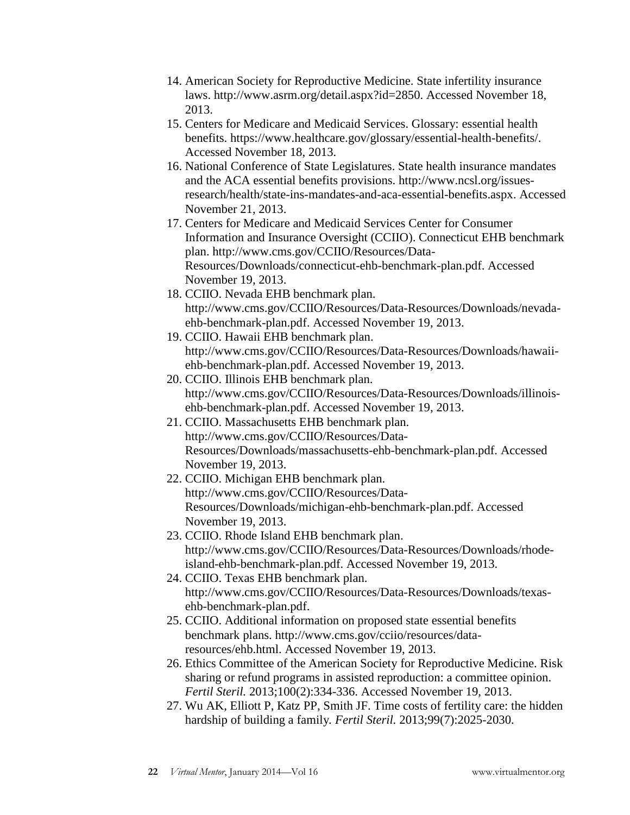- 14. American Society for Reproductive Medicine. State infertility insurance laws. http://www.asrm.org/detail.aspx?id=2850. Accessed November 18, 2013.
- 15. Centers for Medicare and Medicaid Services. Glossary: essential health benefits. https://www.healthcare.gov/glossary/essential-health-benefits/. Accessed November 18, 2013.
- 16. National Conference of State Legislatures. State health insurance mandates and the ACA essential benefits provisions. http://www.ncsl.org/issuesresearch/health/state-ins-mandates-and-aca-essential-benefits.aspx. Accessed November 21, 2013.
- 17. Centers for Medicare and Medicaid Services Center for Consumer Information and Insurance Oversight (CCIIO). Connecticut EHB benchmark plan. http://www.cms.gov/CCIIO/Resources/Data-Resources/Downloads/connecticut-ehb-benchmark-plan.pdf. Accessed November 19, 2013.
- 18. CCIIO. Nevada EHB benchmark plan. http://www.cms.gov/CCIIO/Resources/Data-Resources/Downloads/nevadaehb-benchmark-plan.pdf. Accessed November 19, 2013.
- 19. CCIIO. Hawaii EHB benchmark plan. http://www.cms.gov/CCIIO/Resources/Data-Resources/Downloads/hawaiiehb-benchmark-plan.pdf. Accessed November 19, 2013.
- 20. CCIIO. Illinois EHB benchmark plan. http://www.cms.gov/CCIIO/Resources/Data-Resources/Downloads/illinoisehb-benchmark-plan.pdf. Accessed November 19, 2013.
- 21. CCIIO. Massachusetts EHB benchmark plan. http://www.cms.gov/CCIIO/Resources/Data-Resources/Downloads/massachusetts-ehb-benchmark-plan.pdf. Accessed November 19, 2013.
- 22. CCIIO. Michigan EHB benchmark plan. http://www.cms.gov/CCIIO/Resources/Data-Resources/Downloads/michigan-ehb-benchmark-plan.pdf. Accessed November 19, 2013.
- 23. CCIIO. Rhode Island EHB benchmark plan. http://www.cms.gov/CCIIO/Resources/Data-Resources/Downloads/rhodeisland-ehb-benchmark-plan.pdf. Accessed November 19, 2013.
- 24. CCIIO. Texas EHB benchmark plan. http://www.cms.gov/CCIIO/Resources/Data-Resources/Downloads/texasehb-benchmark-plan.pdf.
- 25. CCIIO. Additional information on proposed state essential benefits benchmark plans. http://www.cms.gov/cciio/resources/dataresources/ehb.html. Accessed November 19, 2013.
- 26. Ethics Committee of the American Society for Reproductive Medicine. Risk sharing or refund programs in assisted reproduction: a committee opinion. *Fertil Steril.* 2013;100(2):334-336. Accessed November 19, 2013.
- 27. Wu AK, Elliott P, Katz PP, Smith JF. Time costs of fertility care: the hidden hardship of building a family*. Fertil Steril.* 2013;99(7):2025-2030.